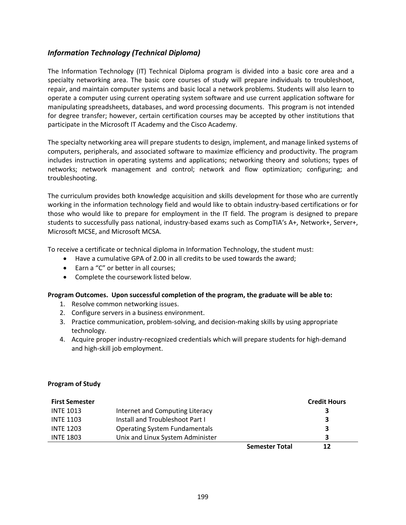# *Information Technology (Technical Diploma)*

The Information Technology (IT) Technical Diploma program is divided into a basic core area and a specialty networking area. The basic core courses of study will prepare individuals to troubleshoot, repair, and maintain computer systems and basic local a network problems. Students will also learn to operate a computer using current operating system software and use current application software for manipulating spreadsheets, databases, and word processing documents. This program is not intended for degree transfer; however, certain certification courses may be accepted by other institutions that participate in the Microsoft IT Academy and the Cisco Academy.

The specialty networking area will prepare students to design, implement, and manage linked systems of computers, peripherals, and associated software to maximize efficiency and productivity. The program includes instruction in operating systems and applications; networking theory and solutions; types of networks; network management and control; network and flow optimization; configuring; and troubleshooting.

The curriculum provides both knowledge acquisition and skills development for those who are currently working in the information technology field and would like to obtain industry-based certifications or for those who would like to prepare for employment in the IT field. The program is designed to prepare students to successfully pass national, industry-based exams such as CompTIA's A+, Network+, Server+, Microsoft MCSE, and Microsoft MCSA.

To receive a certificate or technical diploma in Information Technology, the student must:

- Have a cumulative GPA of 2.00 in all credits to be used towards the award;
- Earn a "C" or better in all courses:
- Complete the coursework listed below.

### **Program Outcomes. Upon successful completion of the program, the graduate will be able to:**

- 1. Resolve common networking issues.
- 2. Configure servers in a business environment.
- 3. Practice communication, problem-solving, and decision-making skills by using appropriate technology.
- 4. Acquire proper industry-recognized credentials which will prepare students for high-demand and high-skill job employment.

### **Program of Study**

| <b>First Semester</b> |                                      |                       | <b>Credit Hours</b> |
|-----------------------|--------------------------------------|-----------------------|---------------------|
| <b>INTE 1013</b>      | Internet and Computing Literacy      |                       |                     |
| <b>INTE 1103</b>      | Install and Troubleshoot Part I      |                       | 3                   |
| <b>INTE 1203</b>      | <b>Operating System Fundamentals</b> |                       |                     |
| <b>INTE 1803</b>      | Unix and Linux System Administer     |                       |                     |
|                       |                                      | <b>Semester Total</b> | 17                  |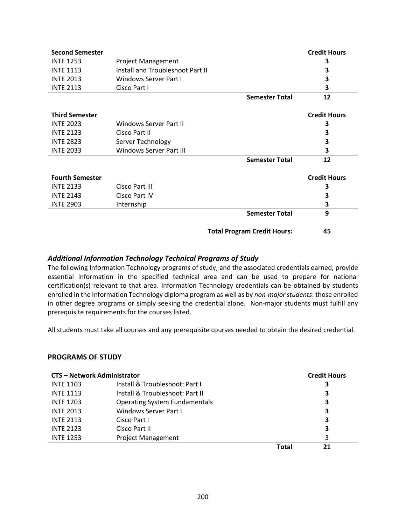| <b>Second Semester</b> |                                  |                                    | <b>Credit Hours</b> |
|------------------------|----------------------------------|------------------------------------|---------------------|
| <b>INTE 1253</b>       | <b>Project Management</b>        |                                    | 3                   |
| <b>INTE 1113</b>       | Install and Troubleshoot Part II |                                    | 3                   |
| <b>INTE 2013</b>       | Windows Server Part I            |                                    | 3                   |
| <b>INTE 2113</b>       | Cisco Part I                     |                                    | 3                   |
|                        |                                  | <b>Semester Total</b>              | 12                  |
| <b>Third Semester</b>  |                                  |                                    | <b>Credit Hours</b> |
| <b>INTE 2023</b>       | Windows Server Part II           |                                    | 3                   |
| <b>INTE 2123</b>       | Cisco Part II                    |                                    | 3                   |
| <b>INTE 2823</b>       | Server Technology                |                                    | 3                   |
| <b>INTE 2033</b>       | <b>Windows Server Part III</b>   |                                    | 3                   |
|                        |                                  | <b>Semester Total</b>              | 12                  |
| <b>Fourth Semester</b> |                                  |                                    | <b>Credit Hours</b> |
| <b>INTE 2133</b>       | Cisco Part III                   |                                    | 3                   |
| <b>INTE 2143</b>       | Cisco Part IV                    |                                    | 3                   |
| <b>INTE 2903</b>       | Internship                       |                                    | 3                   |
|                        |                                  | <b>Semester Total</b>              | 9                   |
|                        |                                  | <b>Total Program Credit Hours:</b> | 45                  |

## *Additional Information Technology Technical Programs of Study*

The following Information Technology programs of study, and the associated credentials earned, provide essential information in the specified technical area and can be used to prepare for national certification(s) relevant to that area. Information Technology credentials can be obtained by students enrolled in the Information Technology diploma program as well as by *non-major students*: those enrolled in other degree programs or simply seeking the credential alone. Non-major students must fulfill any prerequisite requirements for the courses listed.

All students must take all courses and any prerequisite courses needed to obtain the desired credential.

### **PROGRAMS OF STUDY**

| <b>CTS - Network Administrator</b> |                                      |       | <b>Credit Hours</b> |
|------------------------------------|--------------------------------------|-------|---------------------|
| <b>INTE 1103</b>                   | Install & Troubleshoot: Part I       |       | 3                   |
| <b>INTE 1113</b>                   | Install & Troubleshoot: Part II      |       | 3                   |
| <b>INTE 1203</b>                   | <b>Operating System Fundamentals</b> |       | 3                   |
| <b>INTE 2013</b>                   | Windows Server Part I                |       | 3                   |
| <b>INTE 2113</b>                   | Cisco Part L                         |       | 3                   |
| <b>INTE 2123</b>                   | Cisco Part II                        |       | 3                   |
| <b>INTE 1253</b>                   | <b>Project Management</b>            |       | 3                   |
|                                    |                                      | Total |                     |